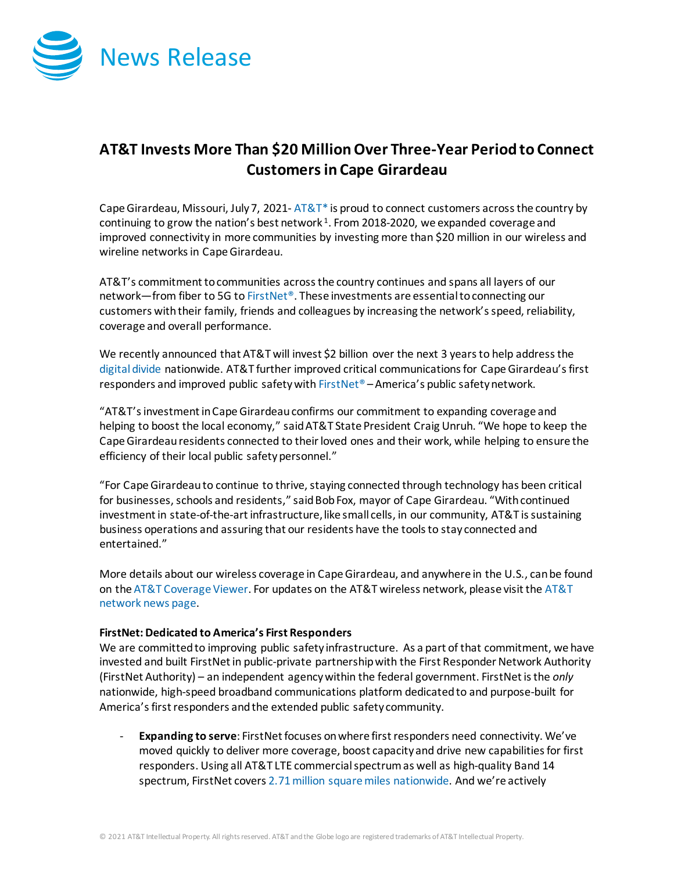

## **AT&T Invests More Than \$20 MillionOver Three-Year Period to Connect Customersin Cape Girardeau**

Cape Girardeau, Missouri, July 7, 2021- $AT&T^*$  is proud to connect customers across the country by continuing to grow the nation's best network  $1$ . From 2018-2020, we expanded coverage and improved connectivity in more communities by investing more than \$20 million in our wireless and wireline networks in Cape Girardeau.

AT&T's commitment to communities across the country continues and spans all layers of our network—from fiber to 5G t[o FirstNet®](http://www.firstnet.com/). These investments are essential to connecting our customers with their family, friends and colleagues by increasing the network's speed, reliability, coverage and overall performance.

We recently announced that AT&T will invest \$2 billion over the next 3 years to help address the [digital divide](https://about.att.com/story/2021/digital_divide.html) nationwide. AT&T further improved critical communications for Cape Girardeau's first responders and improved public safety wit[h FirstNet®](http://www.firstnet.com/) – America's public safety network.

"AT&T's investment in Cape Girardeau confirms our commitment to expanding coverage and helping to boost the local economy," said AT&T State President Craig Unruh. "We hope to keep the Cape Girardeauresidents connected to their loved ones and their work, while helping to ensure the efficiency of their local public safety personnel."

"For Cape Girardeau to continue to thrive, staying connected through technology has been critical for businesses, schools and residents," said Bob Fox, mayor of Cape Girardeau. "With continued investment in state-of-the-art infrastructure, like small cells, in our community, AT&T is sustaining business operations and assuring that our residents have the tools to stay connected and entertained."

More details about our wireless coverage in Cape Girardeau, and anywhere in the U.S., can be found on th[e AT&T Coverage Viewer.](https://www.att.com/maps/wireless-coverage.html) For updates on the AT&T wireless network, please visit th[e AT&T](https://about.att.com/innovation/network_and_field_operations)  [network news page.](https://about.att.com/innovation/network_and_field_operations)

## **FirstNet: Dedicated to America's First Responders**

We are committed to improving public safety infrastructure. As a part of that commitment, we have invested and built FirstNet in public-private partnership with the First Responder Network Authority (FirstNet Authority) – an independent agency within the federal government. FirstNet is the *only* nationwide, high-speed broadband communications platform dedicated to and purpose-built for America's first responders and the extended public safety community.

- **Expanding to serve**: FirstNet focuses on where first responders need connectivity. We've moved quickly to deliver more coverage, boost capacity and drive new capabilities for first responders. Using all AT&T LTE commercial spectrum as well as high-quality Band 14 spectrum, FirstNet cover[s 2.71 million square miles nationwide.](https://about.att.com/story/2021/fn_expands.html) And we're actively